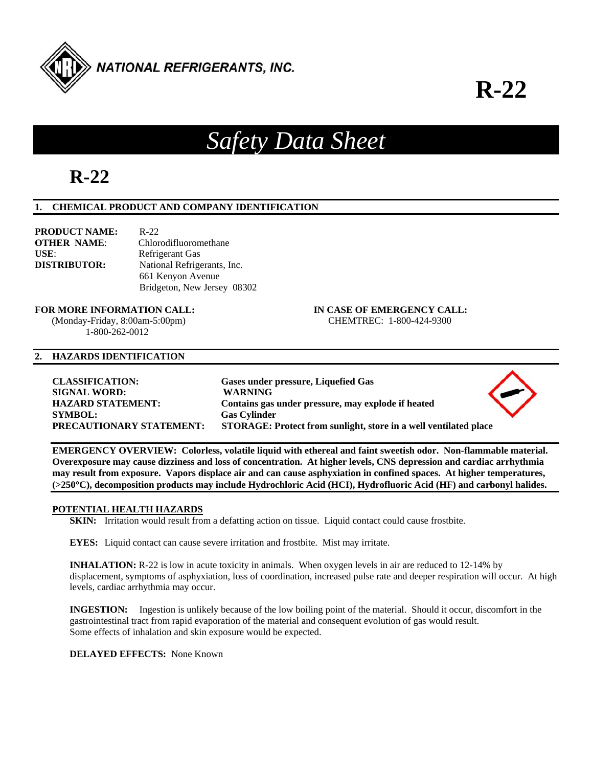

# **R-22**

# *Safety Data Sheet*

## **R-22**

## **1. CHEMICAL PRODUCT AND COMPANY IDENTIFICATION**

| <b>PRODUCT NAME:</b> | $R - 22$                    |
|----------------------|-----------------------------|
| <b>OTHER NAME:</b>   | Chlorodifluoromethane       |
| $USE:$               | Refrigerant Gas             |
| <b>DISTRIBUTOR:</b>  | National Refrigerants, Inc. |
|                      | 661 Kenyon Avenue           |
|                      | Bridgeton, New Jersey 08302 |

## **FOR MORE INFORMATION CALL: IN CASE OF EMERGENCY CALL:**

1-800-262-0012

#### **2. HAZARDS IDENTIFICATION**

**CLASSIFICATION: Gases under pressure, Liquefied Gas SIGNAL WORD: WARNING HAZARD STATEMENT: Contains gas under pressure, may explode if heated SYMBOL: Gas Cylinder PRECAUTIONARY STATEMENT: STORAGE: Protect from sunlight, store in a well ventilated place** 

**EMERGENCY OVERVIEW: Colorless, volatile liquid with ethereal and faint sweetish odor. Non-flammable material. Overexposure may cause dizziness and loss of concentration. At higher levels, CNS depression and cardiac arrhythmia may result from exposure. Vapors displace air and can cause asphyxiation in confined spaces. At higher temperatures, (>250C), decomposition products may include Hydrochloric Acid (HCI), Hydrofluoric Acid (HF) and carbonyl halides.** 

#### **POTENTIAL HEALTH HAZARDS**

**SKIN:** Irritation would result from a defatting action on tissue. Liquid contact could cause frostbite.

**EYES:** Liquid contact can cause severe irritation and frostbite. Mist may irritate.

**INHALATION:** R-22 is low in acute toxicity in animals. When oxygen levels in air are reduced to 12-14% by displacement, symptoms of asphyxiation, loss of coordination, increased pulse rate and deeper respiration will occur. At high levels, cardiac arrhythmia may occur.

**INGESTION:** Ingestion is unlikely because of the low boiling point of the material. Should it occur, discomfort in the gastrointestinal tract from rapid evaporation of the material and consequent evolution of gas would result. Some effects of inhalation and skin exposure would be expected.

**DELAYED EFFECTS:** None Known

(Monday-Friday, 8:00am-5:00pm) CHEMTREC: 1-800-424-9300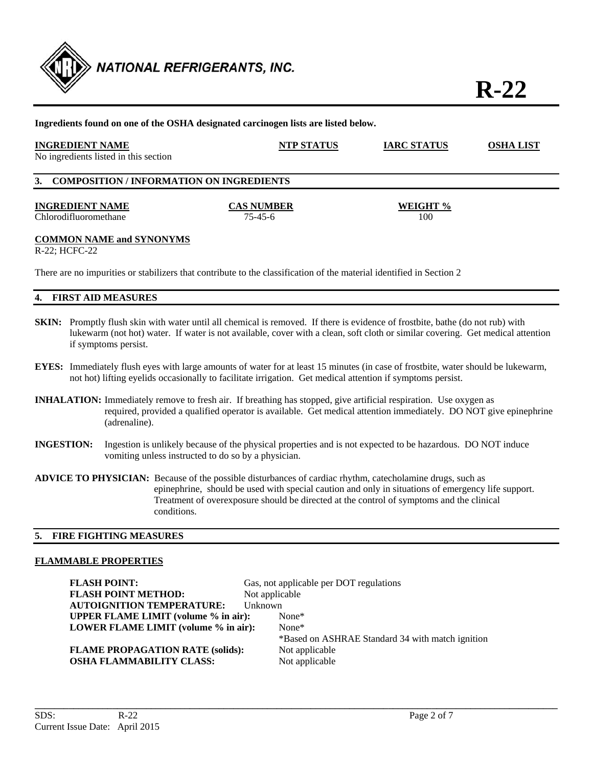

**R-22**

| Ingredients found on one of the OSHA designated carcinogen lists are listed below. |                                                                                                                      |                    |                  |
|------------------------------------------------------------------------------------|----------------------------------------------------------------------------------------------------------------------|--------------------|------------------|
| <b>INGREDIENT NAME</b><br>No ingredients listed in this section                    | <b>NTP STATUS</b>                                                                                                    | <b>IARC STATUS</b> | <b>OSHA LIST</b> |
| 3. COMPOSITION / INFORMATION ON INGREDIENTS                                        |                                                                                                                      |                    |                  |
| <b>INGREDIENT NAME</b>                                                             | <b>CAS NUMBER</b>                                                                                                    | WEIGHT %           |                  |
| Chlorodifluoromethane                                                              | $75 - 45 - 6$                                                                                                        | 100                |                  |
| <b>COMMON NAME and SYNONYMS</b><br>R-22: HCFC-22                                   |                                                                                                                      |                    |                  |
|                                                                                    | There are no impurities or stabilizers that contribute to the classification of the material identified in Section 2 |                    |                  |
| 4. FIRST AID MEASURES                                                              |                                                                                                                      |                    |                  |

- **SKIN:** Promptly flush skin with water until all chemical is removed. If there is evidence of frostbite, bathe (do not rub) with lukewarm (not hot) water. If water is not available, cover with a clean, soft cloth or similar covering. Get medical attention if symptoms persist.
- **EYES:** Immediately flush eyes with large amounts of water for at least 15 minutes (in case of frostbite, water should be lukewarm, not hot) lifting eyelids occasionally to facilitate irrigation. Get medical attention if symptoms persist.
- **INHALATION:** Immediately remove to fresh air. If breathing has stopped, give artificial respiration. Use oxygen as required, provided a qualified operator is available. Get medical attention immediately. DO NOT give epinephrine (adrenaline).
- **INGESTION:** Ingestion is unlikely because of the physical properties and is not expected to be hazardous. DO NOT induce vomiting unless instructed to do so by a physician.
- **ADVICE TO PHYSICIAN:** Because of the possible disturbances of cardiac rhythm, catecholamine drugs, such as epinephrine, should be used with special caution and only in situations of emergency life support. Treatment of overexposure should be directed at the control of symptoms and the clinical conditions.

#### **5. FIRE FIGHTING MEASURES**

#### **FLAMMABLE PROPERTIES**

**FLASH POINT:** Gas, not applicable per DOT regulations **FLASH POINT METHOD:** Not applicable **AUTOIGNITION TEMPERATURE:** Unknown **UPPER FLAME LIMIT (volume % in air):** None\* **LOWER FLAME LIMIT (volume % in air):** None\*

\*Based on ASHRAE Standard 34 with match ignition

**FLAME PROPAGATION RATE (solids):** Not applicable **OSHA FLAMMABILITY CLASS:** Not applicable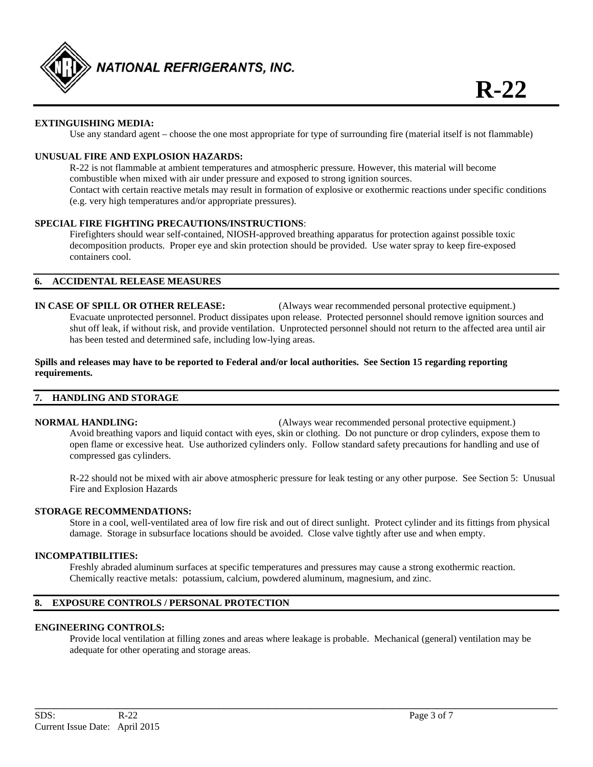

#### **EXTINGUISHING MEDIA:**

Use any standard agent – choose the one most appropriate for type of surrounding fire (material itself is not flammable)

#### **UNUSUAL FIRE AND EXPLOSION HAZARDS:**

 R-22 is not flammable at ambient temperatures and atmospheric pressure. However, this material will become combustible when mixed with air under pressure and exposed to strong ignition sources. Contact with certain reactive metals may result in formation of explosive or exothermic reactions under specific conditions (e.g. very high temperatures and/or appropriate pressures).

#### **SPECIAL FIRE FIGHTING PRECAUTIONS/INSTRUCTIONS**:

 Firefighters should wear self-contained, NIOSH-approved breathing apparatus for protection against possible toxic decomposition products. Proper eye and skin protection should be provided. Use water spray to keep fire-exposed containers cool.

#### **6. ACCIDENTAL RELEASE MEASURES**

**IN CASE OF SPILL OR OTHER RELEASE:** (Always wear recommended personal protective equipment.) Evacuate unprotected personnel. Product dissipates upon release. Protected personnel should remove ignition sources and shut off leak, if without risk, and provide ventilation. Unprotected personnel should not return to the affected area until air has been tested and determined safe, including low-lying areas.

#### **Spills and releases may have to be reported to Federal and/or local authorities. See Section 15 regarding reporting requirements.**

#### **7. HANDLING AND STORAGE**

**NORMAL HANDLING:** (Always wear recommended personal protective equipment.) Avoid breathing vapors and liquid contact with eyes, skin or clothing. Do not puncture or drop cylinders, expose them to open flame or excessive heat. Use authorized cylinders only. Follow standard safety precautions for handling and use of compressed gas cylinders.

 R-22 should not be mixed with air above atmospheric pressure for leak testing or any other purpose. See Section 5: Unusual Fire and Explosion Hazards

#### **STORAGE RECOMMENDATIONS:**

 Store in a cool, well-ventilated area of low fire risk and out of direct sunlight. Protect cylinder and its fittings from physical damage. Storage in subsurface locations should be avoided. Close valve tightly after use and when empty.

#### **INCOMPATIBILITIES:**

Freshly abraded aluminum surfaces at specific temperatures and pressures may cause a strong exothermic reaction. Chemically reactive metals: potassium, calcium, powdered aluminum, magnesium, and zinc.

#### **8. EXPOSURE CONTROLS / PERSONAL PROTECTION**

#### **ENGINEERING CONTROLS:**

 Provide local ventilation at filling zones and areas where leakage is probable. Mechanical (general) ventilation may be adequate for other operating and storage areas.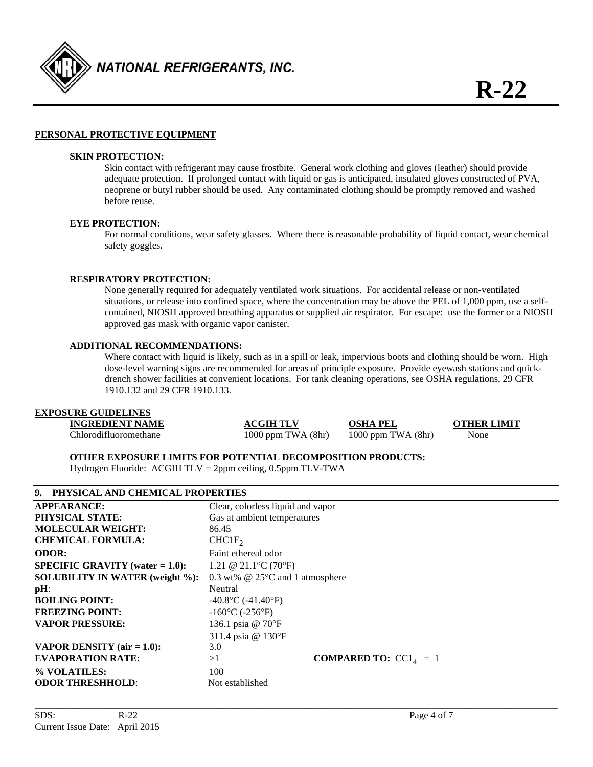

#### **PERSONAL PROTECTIVE EQUIPMENT**

#### **SKIN PROTECTION:**

 Skin contact with refrigerant may cause frostbite. General work clothing and gloves (leather) should provide adequate protection. If prolonged contact with liquid or gas is anticipated, insulated gloves constructed of PVA, neoprene or butyl rubber should be used. Any contaminated clothing should be promptly removed and washed before reuse.

#### **EYE PROTECTION:**

For normal conditions, wear safety glasses. Where there is reasonable probability of liquid contact, wear chemical safety goggles.

#### **RESPIRATORY PROTECTION:**

 None generally required for adequately ventilated work situations. For accidental release or non-ventilated situations, or release into confined space, where the concentration may be above the PEL of 1,000 ppm, use a self contained, NIOSH approved breathing apparatus or supplied air respirator. For escape: use the former or a NIOSH approved gas mask with organic vapor canister.

#### **ADDITIONAL RECOMMENDATIONS:**

Where contact with liquid is likely, such as in a spill or leak, impervious boots and clothing should be worn. High dose-level warning signs are recommended for areas of principle exposure. Provide eyewash stations and quick drench shower facilities at convenient locations. For tank cleaning operations, see OSHA regulations, 29 CFR 1910.132 and 29 CFR 1910.133.

#### **EXPOSURE GUIDELINES**

| <b>INGREDIENT NAME</b> | <b>ACGIH TLV</b>       | <b>OSHA PEL</b>        | <b>OTHER LIMIT</b> |
|------------------------|------------------------|------------------------|--------------------|
| Chlorodifluoromethane  | $1000$ ppm TWA $(8hr)$ | $1000$ ppm TWA $(8hr)$ | None               |
|                        |                        |                        |                    |

**\_\_\_\_\_\_\_\_\_\_\_\_\_\_\_\_\_\_\_\_\_\_\_\_\_\_\_\_\_\_\_\_\_\_\_\_\_\_\_\_\_\_\_\_\_\_\_\_\_\_\_\_\_\_\_\_\_\_\_\_\_\_\_\_\_\_\_\_\_\_\_\_\_\_\_\_\_\_\_\_\_\_\_\_\_\_\_\_\_\_\_\_\_\_\_\_\_\_\_\_\_\_\_\_\_\_\_\_** 

**OTHER EXPOSURE LIMITS FOR POTENTIAL DECOMPOSITION PRODUCTS:** 

Hydrogen Fluoride: ACGIH TLV = 2ppm ceiling, 0.5ppm TLV-TWA

### **9. PHYSICAL AND CHEMICAL PROPERTIES**

| <b>APPEARANCE:</b>                     | Clear, colorless liquid and vapor    |                                |
|----------------------------------------|--------------------------------------|--------------------------------|
| PHYSICAL STATE:                        | Gas at ambient temperatures          |                                |
| <b>MOLECULAR WEIGHT:</b>               | 86.45                                |                                |
| <b>CHEMICAL FORMULA:</b>               | CHCIF <sub>2</sub>                   |                                |
| <b>ODOR:</b>                           | Faint ethereal odor                  |                                |
| $SPECIFIC$ GRAVITY (water = 1.0):      | 1.21 @ 21.1 °C (70 °F)               |                                |
| <b>SOLUBILITY IN WATER (weight %):</b> | 0.3 wt% $@$ 25 $°C$ and 1 atmosphere |                                |
| pH:                                    | Neutral                              |                                |
| <b>BOILING POINT:</b>                  | $-40.8$ °C ( $-41.40$ °F)            |                                |
| <b>FREEZING POINT:</b>                 | $-160^{\circ}$ C ( $-256^{\circ}$ F) |                                |
| <b>VAPOR PRESSURE:</b>                 | 136.1 psia @ 70°F                    |                                |
|                                        | 311.4 psia @ 130°F                   |                                |
| VAPOR DENSITY (air $= 1.0$ ):          | 3.0                                  |                                |
| <b>EVAPORATION RATE:</b>               | >1                                   | <b>COMPARED TO:</b> $CC1A = 1$ |
| % VOLATILES:                           | 100                                  |                                |
| <b>ODOR THRESHHOLD:</b>                | Not established                      |                                |
|                                        |                                      |                                |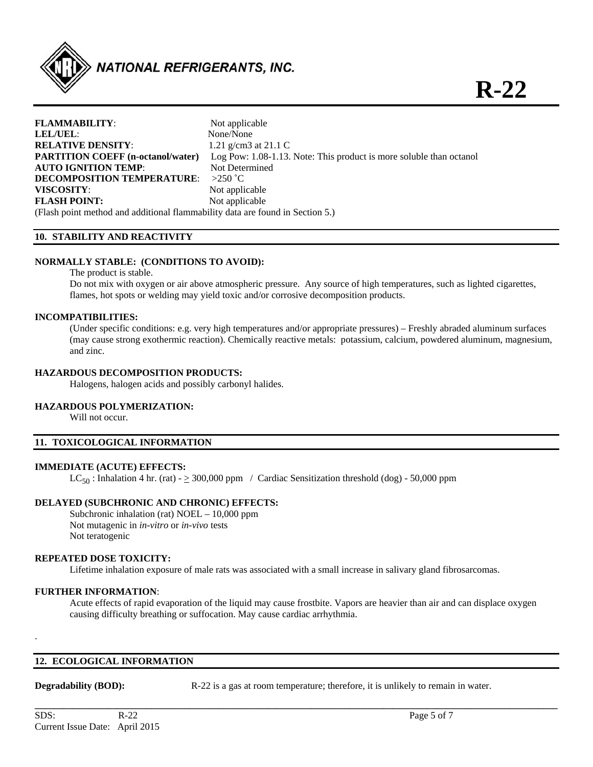

| <b>FLAMMABILITY:</b>                                                          | Not applicable                                                      |
|-------------------------------------------------------------------------------|---------------------------------------------------------------------|
| LEL/UEL:                                                                      | None/None                                                           |
| <b>RELATIVE DENSITY:</b>                                                      | 1.21 g/cm3 at 21.1 C                                                |
| <b>PARTITION COEFF</b> (n-octanol/water)                                      | Log Pow: 1.08-1.13. Note: This product is more soluble than octanol |
| <b>AUTO IGNITION TEMP:</b>                                                    | Not Determined                                                      |
| <b>DECOMPOSITION TEMPERATURE:</b>                                             | $>250$ °C                                                           |
| VISCOSITY:                                                                    | Not applicable                                                      |
| <b>FLASH POINT:</b>                                                           | Not applicable                                                      |
| (Flash point method and additional flammability data are found in Section 5.) |                                                                     |

#### **10. STABILITY AND REACTIVITY**

#### **NORMALLY STABLE: (CONDITIONS TO AVOID):**

The product is stable.

Do not mix with oxygen or air above atmospheric pressure. Any source of high temperatures, such as lighted cigarettes, flames, hot spots or welding may yield toxic and/or corrosive decomposition products.

#### **INCOMPATIBILITIES:**

 (Under specific conditions: e.g. very high temperatures and/or appropriate pressures) – Freshly abraded aluminum surfaces (may cause strong exothermic reaction). Chemically reactive metals: potassium, calcium, powdered aluminum, magnesium, and zinc.

#### **HAZARDOUS DECOMPOSITION PRODUCTS:**

Halogens, halogen acids and possibly carbonyl halides.

#### **HAZARDOUS POLYMERIZATION:**

Will not occur.

#### **11. TOXICOLOGICAL INFORMATION**

#### **IMMEDIATE (ACUTE) EFFECTS:**

 $LC_{50}$ : Inhalation 4 hr. (rat) -  $\geq$  300,000 ppm / Cardiac Sensitization threshold (dog) - 50,000 ppm

#### **DELAYED (SUBCHRONIC AND CHRONIC) EFFECTS:**

Subchronic inhalation (rat) NOEL – 10,000 ppm Not mutagenic in *in-vitro* or *in-vivo* tests Not teratogenic

#### **REPEATED DOSE TOXICITY:**

Lifetime inhalation exposure of male rats was associated with a small increase in salivary gland fibrosarcomas.

#### **FURTHER INFORMATION**:

Acute effects of rapid evaporation of the liquid may cause frostbite. Vapors are heavier than air and can displace oxygen causing difficulty breathing or suffocation. May cause cardiac arrhythmia.

**\_\_\_\_\_\_\_\_\_\_\_\_\_\_\_\_\_\_\_\_\_\_\_\_\_\_\_\_\_\_\_\_\_\_\_\_\_\_\_\_\_\_\_\_\_\_\_\_\_\_\_\_\_\_\_\_\_\_\_\_\_\_\_\_\_\_\_\_\_\_\_\_\_\_\_\_\_\_\_\_\_\_\_\_\_\_\_\_\_\_\_\_\_\_\_\_\_\_\_\_\_\_\_\_\_\_\_\_** 

#### **12. ECOLOGICAL INFORMATION**

.

**Degradability (BOD):** R-22 is a gas at room temperature; therefore, it is unlikely to remain in water.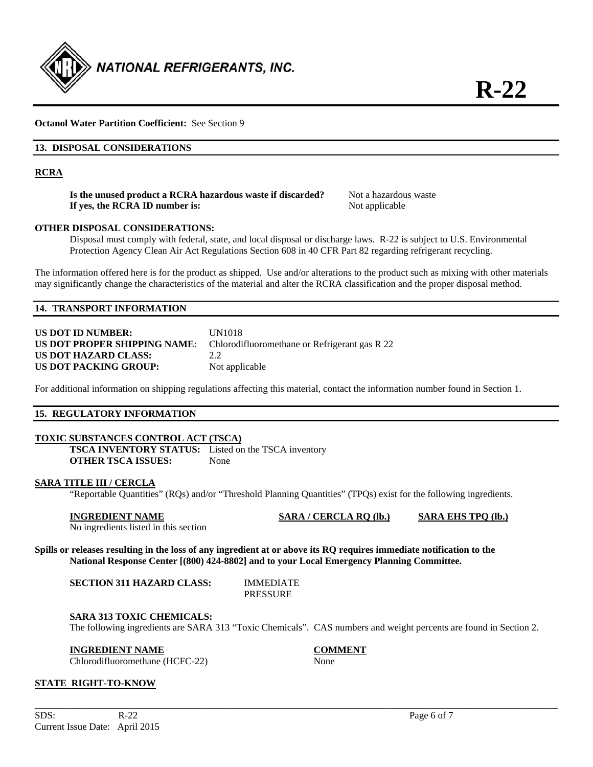

## **Octanol Water Partition Coefficient:** See Section 9

#### **13. DISPOSAL CONSIDERATIONS**

#### **RCRA**

**Is the unused product a RCRA hazardous waste if discarded?** Not a hazardous waste **If yes, the RCRA ID number is:** Not applicable

#### **OTHER DISPOSAL CONSIDERATIONS:**

 Disposal must comply with federal, state, and local disposal or discharge laws. R-22 is subject to U.S. Environmental Protection Agency Clean Air Act Regulations Section 608 in 40 CFR Part 82 regarding refrigerant recycling.

The information offered here is for the product as shipped. Use and/or alterations to the product such as mixing with other materials may significantly change the characteristics of the material and alter the RCRA classification and the proper disposal method.

#### **14. TRANSPORT INFORMATION**

| <b>US DOT ID NUMBER:</b>     | UN1018                                        |
|------------------------------|-----------------------------------------------|
| US DOT PROPER SHIPPING NAME: | Chlorodifluoromethane or Refrigerant gas R 22 |
| US DOT HAZARD CLASS:         | 22                                            |
| US DOT PACKING GROUP:        | Not applicable                                |

For additional information on shipping regulations affecting this material, contact the information number found in Section 1.

#### **15. REGULATORY INFORMATION**

#### **TOXIC SUBSTANCES CONTROL ACT (TSCA)**

**TSCA INVENTORY STATUS:** Listed on the TSCA inventory **OTHER TSCA ISSUES:** None

#### **SARA TITLE III / CERCLA**

"Reportable Quantities" (RQs) and/or "Threshold Planning Quantities" (TPQs) exist for the following ingredients.

| <b>INGREDIENT NAME</b>                | SARA / CERCLA RO (lb.) | <b>SARA EHS TPO (lb.)</b> |
|---------------------------------------|------------------------|---------------------------|
| No inquediente lietad in this section |                        |                           |

No ingredients listed in this section

**Spills or releases resulting in the loss of any ingredient at or above its RQ requires immediate notification to the National Response Center [(800) 424-8802] and to your Local Emergency Planning Committee.** 

| <b>SECTION 311 HAZARD CLASS:</b> | <b>IMMEDIATE</b> |
|----------------------------------|------------------|
|                                  | <b>PRESSURE</b>  |

#### **SARA 313 TOXIC CHEMICALS:**

The following ingredients are SARA 313 "Toxic Chemicals". CAS numbers and weight percents are found in Section 2.

#### **INGREDIENT NAME COMMENT**

Chlorodifluoromethane (HCFC-22) None

**\_\_\_\_\_\_\_\_\_\_\_\_\_\_\_\_\_\_\_\_\_\_\_\_\_\_\_\_\_\_\_\_\_\_\_\_\_\_\_\_\_\_\_\_\_\_\_\_\_\_\_\_\_\_\_\_\_\_\_\_\_\_\_\_\_\_\_\_\_\_\_\_\_\_\_\_\_\_\_\_\_\_\_\_\_\_\_\_\_\_\_\_\_\_\_\_\_\_\_\_\_\_\_\_\_\_\_\_** 

#### **STATE RIGHT-TO-KNOW**